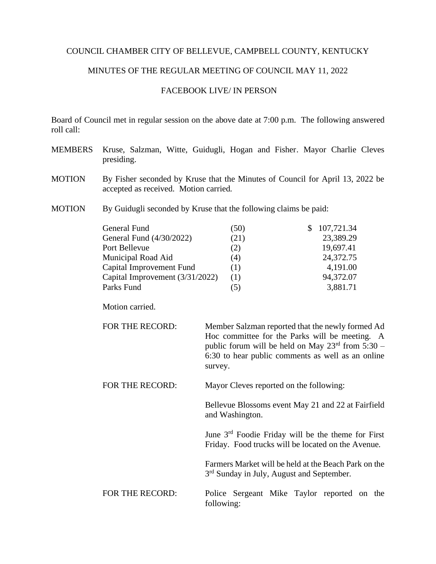## COUNCIL CHAMBER CITY OF BELLEVUE, CAMPBELL COUNTY, KENTUCKY

## MINUTES OF THE REGULAR MEETING OF COUNCIL MAY 11, 2022

## FACEBOOK LIVE/ IN PERSON

Board of Council met in regular session on the above date at 7:00 p.m. The following answered roll call:

- MEMBERS Kruse, Salzman, Witte, Guidugli, Hogan and Fisher. Mayor Charlie Cleves presiding.
- MOTION By Fisher seconded by Kruse that the Minutes of Council for April 13, 2022 be accepted as received. Motion carried.
- MOTION By Guidugli seconded by Kruse that the following claims be paid:

| General Fund                    | (50) | \$107,721.34 |
|---------------------------------|------|--------------|
| General Fund (4/30/2022)        | (21) | 23,389.29    |
| Port Bellevue                   | (2)  | 19,697.41    |
| Municipal Road Aid              | (4)  | 24,372.75    |
| Capital Improvement Fund        | (1)  | 4,191.00     |
| Capital Improvement (3/31/2022) | (1)  | 94,372.07    |
| Parks Fund                      |      | 3,881.71     |

Motion carried.

| FOR THE RECORD: | Member Salzman reported that the newly formed Ad              |
|-----------------|---------------------------------------------------------------|
|                 | Hoc committee for the Parks will be meeting. A                |
|                 | public forum will be held on May $23^{\text{rd}}$ from 5:30 – |
|                 | 6:30 to hear public comments as well as an online             |
|                 | survey.                                                       |
|                 |                                                               |

FOR THE RECORD: Mayor Cleves reported on the following:

Bellevue Blossoms event May 21 and 22 at Fairfield and Washington.

June 3rd Foodie Friday will be the theme for First Friday. Food trucks will be located on the Avenue.

Farmers Market will be held at the Beach Park on the 3<sup>rd</sup> Sunday in July, August and September.

FOR THE RECORD: Police Sergeant Mike Taylor reported on the following: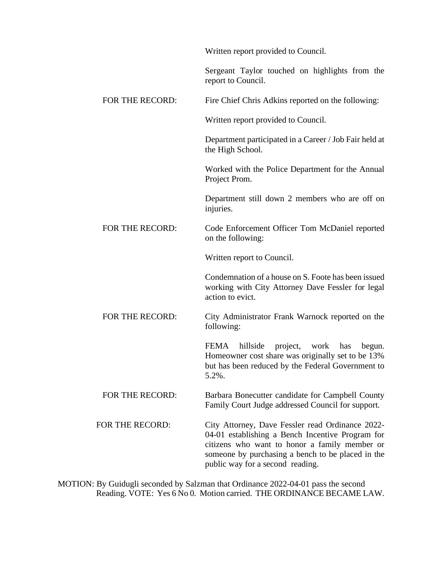|                 | Written report provided to Council.                                                                                                                                                                                                            |
|-----------------|------------------------------------------------------------------------------------------------------------------------------------------------------------------------------------------------------------------------------------------------|
|                 | Sergeant Taylor touched on highlights from the<br>report to Council.                                                                                                                                                                           |
| FOR THE RECORD: | Fire Chief Chris Adkins reported on the following:                                                                                                                                                                                             |
|                 | Written report provided to Council.                                                                                                                                                                                                            |
|                 | Department participated in a Career / Job Fair held at<br>the High School.                                                                                                                                                                     |
|                 | Worked with the Police Department for the Annual<br>Project Prom.                                                                                                                                                                              |
|                 | Department still down 2 members who are off on<br>injuries.                                                                                                                                                                                    |
| FOR THE RECORD: | Code Enforcement Officer Tom McDaniel reported<br>on the following:                                                                                                                                                                            |
|                 | Written report to Council.                                                                                                                                                                                                                     |
|                 | Condemnation of a house on S. Foote has been issued<br>working with City Attorney Dave Fessler for legal<br>action to evict.                                                                                                                   |
| FOR THE RECORD: | City Administrator Frank Warnock reported on the<br>following:                                                                                                                                                                                 |
|                 | hillside project, work<br>FEMA<br>has<br>begun.<br>Homeowner cost share was originally set to be 13%<br>but has been reduced by the Federal Government to<br>5.2%.                                                                             |
| FOR THE RECORD: | Barbara Bonecutter candidate for Campbell County<br>Family Court Judge addressed Council for support.                                                                                                                                          |
| FOR THE RECORD: | City Attorney, Dave Fessler read Ordinance 2022-<br>04-01 establishing a Bench Incentive Program for<br>citizens who want to honor a family member or<br>someone by purchasing a bench to be placed in the<br>public way for a second reading. |

MOTION: By Guidugli seconded by Salzman that Ordinance 2022-04-01 pass the second Reading. VOTE: Yes 6 No 0. Motion carried. THE ORDINANCE BECAME LAW.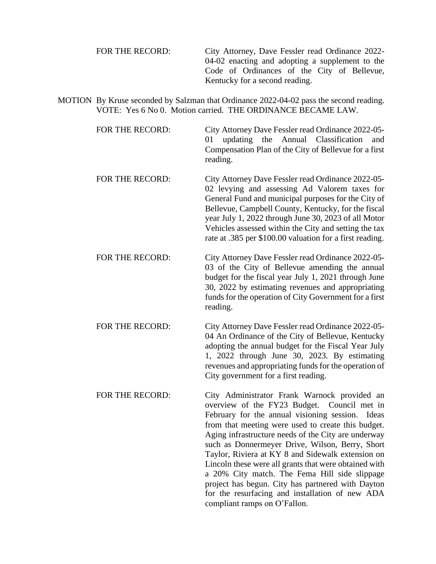| FOR THE RECORD: | City Attorney, Dave Fessler read Ordinance 2022- |
|-----------------|--------------------------------------------------|
|                 | 04-02 enacting and adopting a supplement to the  |
|                 | Code of Ordinances of the City of Bellevue,      |
|                 | Kentucky for a second reading.                   |

MOTION By Kruse seconded by Salzman that Ordinance 2022-04-02 pass the second reading. VOTE: Yes 6 No 0. Motion carried. THE ORDINANCE BECAME LAW.

> FOR THE RECORD: City Attorney Dave Fessler read Ordinance 2022-05- 01 updating the Annual Classification and Compensation Plan of the City of Bellevue for a first reading.

- FOR THE RECORD: City Attorney Dave Fessler read Ordinance 2022-05-02 levying and assessing Ad Valorem taxes for General Fund and municipal purposes for the City of Bellevue, Campbell County, Kentucky, for the fiscal year July 1, 2022 through June 30, 2023 of all Motor Vehicles assessed within the City and setting the tax rate at .385 per \$100.00 valuation for a first reading.
- FOR THE RECORD: City Attorney Dave Fessler read Ordinance 2022-05-03 of the City of Bellevue amending the annual budget for the fiscal year July 1, 2021 through June 30, 2022 by estimating revenues and appropriating funds for the operation of City Government for a first reading.
- FOR THE RECORD: City Attorney Dave Fessler read Ordinance 2022-05-04 An Ordinance of the City of Bellevue, Kentucky adopting the annual budget for the Fiscal Year July 1, 2022 through June 30, 2023. By estimating revenues and appropriating funds for the operation of City government for a first reading.
- FOR THE RECORD: City Administrator Frank Warnock provided an overview of the FY23 Budget. Council met in February for the annual visioning session. Ideas from that meeting were used to create this budget. Aging infrastructure needs of the City are underway such as Donnermeyer Drive, Wilson, Berry, Short Taylor, Riviera at KY 8 and Sidewalk extension on Lincoln these were all grants that were obtained with a 20% City match. The Fema Hill side slippage project has begun. City has partnered with Dayton for the resurfacing and installation of new ADA compliant ramps on O'Fallon.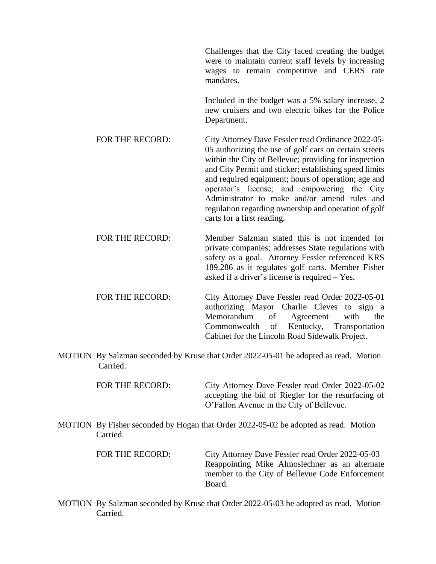Challenges that the City faced creating the budget were to maintain current staff levels by increasing wages to remain competitive and CERS rate mandates. Included in the budget was a 5% salary increase, 2 new cruisers and two electric bikes for the Police Department. FOR THE RECORD: City Attorney Dave Fessler read Ordinance 2022-05-05 authorizing the use of golf cars on certain streets within the City of Bellevue; providing for inspection and City Permit and sticker; establishing speed limits and required equipment; hours of operation; age and operator's license; and empowering the City Administrator to make and/or amend rules and regulation regarding ownership and operation of golf carts for a first reading. FOR THE RECORD: Member Salzman stated this is not intended for

private companies; addresses State regulations with safety as a goal. Attorney Fessler referenced KRS 189.286 as it regulates golf carts. Member Fisher asked if a driver's license is required – Yes.

- FOR THE RECORD: City Attorney Dave Fessler read Order 2022-05-01 authorizing Mayor Charlie Cleves to sign a Memorandum of Agreement with the Commonwealth of Kentucky, Transportation Cabinet for the Lincoln Road Sidewalk Project.
- MOTION By Salzman seconded by Kruse that Order 2022-05-01 be adopted as read. Motion Carried.

FOR THE RECORD: City Attorney Dave Fessler read Order 2022-05-02 accepting the bid of Riegler for the resurfacing of O'Fallon Avenue in the City of Bellevue.

MOTION By Fisher seconded by Hogan that Order 2022-05-02 be adopted as read. Motion Carried.

> FOR THE RECORD: City Attorney Dave Fessler read Order 2022-05-03 Reappointing Mike Almoslechner as an alternate member to the City of Bellevue Code Enforcement Board.

MOTION By Salzman seconded by Kruse that Order 2022-05-03 be adopted as read. Motion Carried.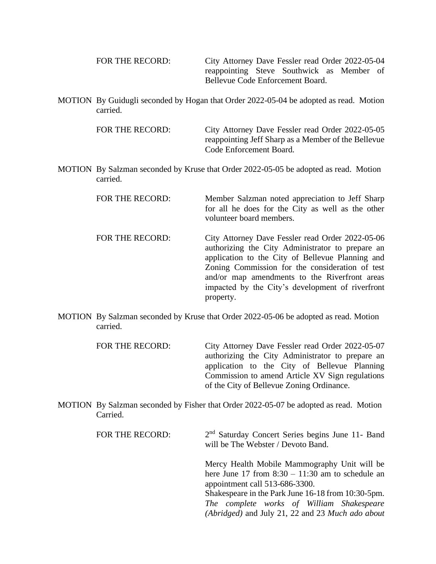| FOR THE RECORD: | City Attorney Dave Fessler read Order 2022-05-04 |
|-----------------|--------------------------------------------------|
|                 | reappointing Steve Southwick as Member of        |
|                 | Bellevue Code Enforcement Board.                 |

MOTION By Guidugli seconded by Hogan that Order 2022-05-04 be adopted as read. Motion carried.

> FOR THE RECORD: City Attorney Dave Fessler read Order 2022-05-05 reappointing Jeff Sharp as a Member of the Bellevue Code Enforcement Board.

MOTION By Salzman seconded by Kruse that Order 2022-05-05 be adopted as read. Motion carried.

> FOR THE RECORD: Member Salzman noted appreciation to Jeff Sharp for all he does for the City as well as the other volunteer board members.

- FOR THE RECORD: City Attorney Dave Fessler read Order 2022-05-06 authorizing the City Administrator to prepare an application to the City of Bellevue Planning and Zoning Commission for the consideration of test and/or map amendments to the Riverfront areas impacted by the City's development of riverfront property.
- MOTION By Salzman seconded by Kruse that Order 2022-05-06 be adopted as read. Motion carried.

| FOR THE RECORD: | City Attorney Dave Fessler read Order 2022-05-07 |
|-----------------|--------------------------------------------------|
|                 | authorizing the City Administrator to prepare an |
|                 | application to the City of Bellevue Planning     |
|                 | Commission to amend Article XV Sign regulations  |
|                 | of the City of Bellevue Zoning Ordinance.        |

MOTION By Salzman seconded by Fisher that Order 2022-05-07 be adopted as read. Motion Carried.

| FOR THE RECORD: | 2 <sup>nd</sup> Saturday Concert Series begins June 11- Band<br>will be The Webster / Devoto Band.                                                  |
|-----------------|-----------------------------------------------------------------------------------------------------------------------------------------------------|
|                 | Mercy Health Mobile Mammography Unit will be<br>here June 17 from $8:30 - 11:30$ am to schedule an<br>appointment call 513-686-3300.                |
|                 | Shakespeare in the Park June 16-18 from 10:30-5pm.<br>The complete works of William Shakespeare<br>(Abridged) and July 21, 22 and 23 Much ado about |